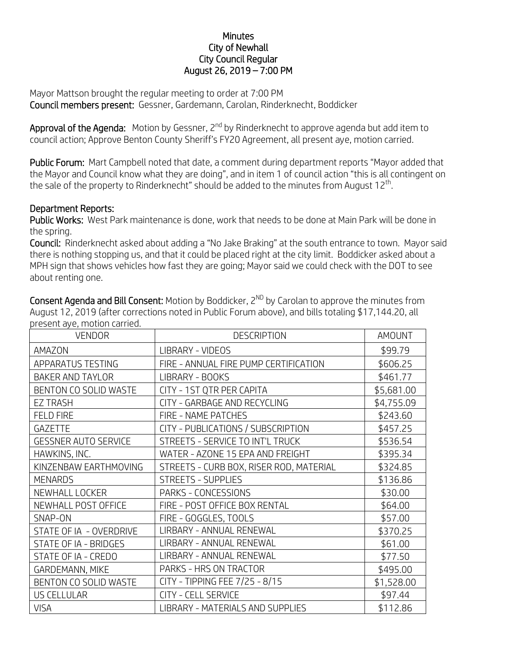## **Minutes** City of Newhall City Council Regular August 26, 2019 – 7:00 PM

Mayor Mattson brought the regular meeting to order at 7:00 PM Council members present: Gessner, Gardemann, Carolan, Rinderknecht, Boddicker

**Approval of the Agenda:** Motion by Gessner, 2<sup>nd</sup> by Rinderknecht to approve agenda but add item to council action; Approve Benton County Sheriff's FY20 Agreement, all present aye, motion carried.

Public Forum: Mart Campbell noted that date, a comment during department reports "Mayor added that the Mayor and Council know what they are doing", and in item 1 of council action "this is all contingent on the sale of the property to Rinderknecht" should be added to the minutes from August 12<sup>th</sup>.

## Department Reports:

Public Works: West Park maintenance is done, work that needs to be done at Main Park will be done in the spring.

Council: Rinderknecht asked about adding a "No Jake Braking" at the south entrance to town. Mayor said there is nothing stopping us, and that it could be placed right at the city limit. Boddicker asked about a MPH sign that shows vehicles how fast they are going; Mayor said we could check with the DOT to see about renting one.

Consent Agenda and Bill Consent: Motion by Boddicker,  $2^{ND}$  by Carolan to approve the minutes from August 12, 2019 (after corrections noted in Public Forum above), and bills totaling \$17,144.20, all present aye, motion carried.

| <b>VENDOR</b>               | <b>DESCRIPTION</b>                      | AMOUNT     |
|-----------------------------|-----------------------------------------|------------|
| AMAZON                      | LIBRARY - VIDEOS                        | \$99.79    |
| APPARATUS TESTING           | FIRE - ANNUAL FIRE PUMP CERTIFICATION   | \$606.25   |
| <b>BAKER AND TAYLOR</b>     | LIBRARY - BOOKS                         | \$461.77   |
| BENTON CO SOLID WASTE       | CITY - 1ST QTR PER CAPITA               | \$5,681.00 |
| <b>EZ TRASH</b>             | CITY - GARBAGE AND RECYCLING            | \$4,755.09 |
| <b>FELD FIRE</b>            | FIRE - NAME PATCHES                     | \$243.60   |
| <b>GAZETTE</b>              | CITY - PUBLICATIONS / SUBSCRIPTION      | \$457.25   |
| <b>GESSNER AUTO SERVICE</b> | STREETS - SERVICE TO INT'L TRUCK        | \$536.54   |
| HAWKINS, INC.               | WATER - AZONE 15 EPA AND FREIGHT        | \$395.34   |
| KINZENBAW EARTHMOVING       | STREETS - CURB BOX, RISER ROD, MATERIAL | \$324.85   |
| <b>MENARDS</b>              | <b>STREETS - SUPPLIES</b>               | \$136.86   |
| NEWHALL LOCKER              | PARKS - CONCESSIONS                     | \$30.00    |
| NEWHALL POST OFFICE         | FIRE - POST OFFICE BOX RENTAL           | \$64.00    |
| SNAP-ON                     | FIRE - GOGGLES, TOOLS                   | \$57.00    |
| STATE OF IA - OVERDRIVE     | LIRBARY - ANNUAL RENEWAL                | \$370.25   |
| STATE OF IA - BRIDGES       | LIRBARY - ANNUAL RENEWAL                | \$61.00    |
| STATE OF IA - CREDO         | LIRBARY - ANNUAL RENEWAL                | \$77.50    |
| GARDEMANN, MIKE             | PARKS - HRS ON TRACTOR                  | \$495.00   |
| BENTON CO SOLID WASTE       | CITY - TIPPING FEE 7/25 - 8/15          | \$1,528.00 |
| <b>US CELLULAR</b>          | <b>CITY - CELL SERVICE</b>              | \$97.44    |
| <b>VISA</b>                 | LIBRARY - MATERIALS AND SUPPLIES        | \$112.86   |